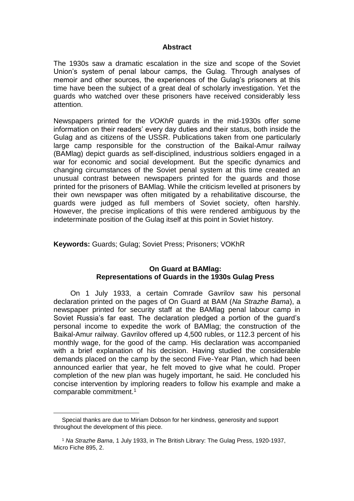## **Abstract**

The 1930s saw a dramatic escalation in the size and scope of the Soviet Union's system of penal labour camps, the Gulag. Through analyses of memoir and other sources, the experiences of the Gulag's prisoners at this time have been the subject of a great deal of scholarly investigation. Yet the guards who watched over these prisoners have received considerably less attention.

Newspapers printed for the *VOKhR* guards in the mid-1930s offer some information on their readers' every day duties and their status, both inside the Gulag and as citizens of the USSR. Publications taken from one particularly large camp responsible for the construction of the Baikal-Amur railway (BAMlag) depict guards as self-disciplined, industrious soldiers engaged in a war for economic and social development. But the specific dynamics and changing circumstances of the Soviet penal system at this time created an unusual contrast between newspapers printed for the guards and those printed for the prisoners of BAMlag. While the criticism levelled at prisoners by their own newspaper was often mitigated by a rehabilitative discourse, the guards were judged as full members of Soviet society, often harshly. However, the precise implications of this were rendered ambiguous by the indeterminate position of the Gulag itself at this point in Soviet history.

**Keywords:** Guards; Gulag; Soviet Press; Prisoners; VOKhR

## **On Guard at BAMlag: Representations of Guards in the 1930s Gulag Press**

On 1 July 1933, a certain Comrade Gavrilov saw his personal declaration printed on the pages of On Guard at BAM (*Na Strazhe Bama*), a newspaper printed for security staff at the BAMlag penal labour camp in Soviet Russia's far east. The declaration pledged a portion of the guard's personal income to expedite the work of BAMlag; the construction of the Baikal-Amur railway. Gavrilov offered up 4,500 rubles, or 112.3 percent of his monthly wage, for the good of the camp. His declaration was accompanied with a brief explanation of his decision. Having studied the considerable demands placed on the camp by the second Five-Year Plan, which had been announced earlier that year, he felt moved to give what he could. Proper completion of the new plan was hugely important, he said. He concluded his concise intervention by imploring readers to follow his example and make a comparable commitment.<sup>1</sup>

Special thanks are due to Miriam Dobson for her kindness, generosity and support throughout the development of this piece.

<sup>1</sup> *Na Strazhe Bama*, 1 July 1933, in The British Library: The Gulag Press, 1920-1937, Micro Fiche 895, 2.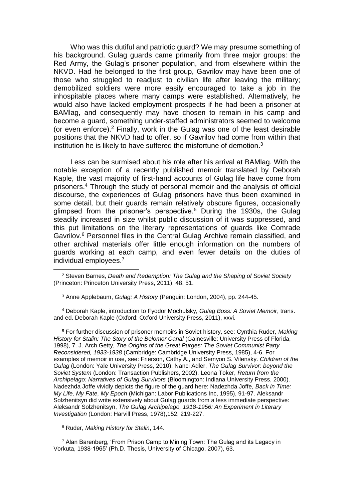Who was this dutiful and patriotic guard? We may presume something of his background. Gulag guards came primarily from three major groups: the Red Army, the Gulag's prisoner population, and from elsewhere within the NKVD. Had he belonged to the first group, Gavrilov may have been one of those who struggled to readjust to civilian life after leaving the military; demobilized soldiers were more easily encouraged to take a job in the inhospitable places where many camps were established. Alternatively, he would also have lacked employment prospects if he had been a prisoner at BAMlag, and consequently may have chosen to remain in his camp and become a guard, something under-staffed administrators seemed to welcome (or even enforce).<sup>2</sup> Finally, work in the Gulag was one of the least desirable positions that the NKVD had to offer, so if Gavrilov had come from within that institution he is likely to have suffered the misfortune of demotion.<sup>3</sup>

Less can be surmised about his role after his arrival at BAMlag. With the notable exception of a recently published memoir translated by Deborah Kaple, the vast majority of first-hand accounts of Gulag life have come from prisoners.<sup>4</sup> Through the study of personal memoir and the analysis of official discourse, the experiences of Gulag prisoners have thus been examined in some detail, but their guards remain relatively obscure figures, occasionally glimpsed from the prisoner's perspective.<sup>5</sup> During the 1930s, the Gulag steadily increased in size whilst public discussion of it was suppressed, and this put limitations on the literary representations of guards like Comrade Gavrilov.<sup>6</sup> Personnel files in the Central Gulag Archive remain classified, and other archival materials offer little enough information on the numbers of guards working at each camp, and even fewer details on the duties of individual employees.<sup>7</sup>

<sup>3</sup> Anne Applebaum, *Gulag: A History* (Penguin: London, 2004), pp. 244-45.

<sup>4</sup> Deborah Kaple, introduction to Fyodor Mochulsky, *Gulag Boss: A Soviet Memoir*, trans. and ed. Deborah Kaple (Oxford: Oxford University Press, 2011), xxvi.

<sup>5</sup> For further discussion of prisoner memoirs in Soviet history, see: Cynthia Ruder, *Making History for Stalin: The Story of the Belomor Canal* (Gainesville: University Press of Florida, 1998), 7. J. Arch Getty, *The Origins of the Great Purges: The Soviet Communist Party Reconsidered, 1933-1938* (Cambridge: Cambridge University Press, 1985), 4-6. For examples of memoir in use, see: Frierson, Cathy A., and Semyon S. Vilensky. *Children of the Gulag* (London: Yale University Press, 2010). Nanci Adler, *The Gulag Survivor: beyond the Soviet System* (London: Transaction Publishers, 2002). Leona Toker, *Return from the Archipelago: Narratives of Gulag Survivors* (Bloomington: Indiana University Press, 2000). Nadezhda Joffe vividly depicts the figure of the guard here: Nadezhda Joffe, *Back in Time: My Life, My Fate, My Epoch* (Michigan: Labor Publications Inc, 1995), 91-97. Aleksandr Solzhenitsyn did write extensively about Gulag guards from a less immediate perspective: Aleksandr Solzhenitsyn, *The Gulag Archipelago, 1918-1956: An Experiment in Literary Investigation* (London: Harvill Press, 1978),152, 219-227.

<sup>6</sup> Ruder, *Making History for Stalin*, 144.

 $\overline{a}$ 

<sup>7</sup> Alan Barenberg, 'From Prison Camp to Mining Town: The Gulag and its Legacy in Vorkuta, 1938-1965' (Ph.D. Thesis, University of Chicago, 2007), 63.

<sup>2</sup> Steven Barnes, *Death and Redemption: The Gulag and the Shaping of Soviet Society* (Princeton: Princeton University Press, 2011), 48, 51.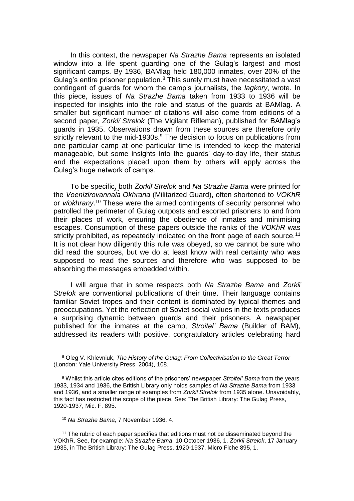In this context, the newspaper *Na Strazhe Bama* represents an isolated window into a life spent guarding one of the Gulag's largest and most significant camps. By 1936, BAMlag held 180,000 inmates, over 20% of the Gulag's entire prisoner population.<sup>8</sup> This surely must have necessitated a vast contingent of guards for whom the camp's journalists, the *lagkory*, wrote. In this piece, issues of *Na Strazhe Bama* taken from 1933 to 1936 will be inspected for insights into the role and status of the guards at BAMlag. A smaller but significant number of citations will also come from editions of a second paper, *Zorkiĭ Strelok* (The Vigilant Rifleman), published for BAMlag's guards in 1935. Observations drawn from these sources are therefore only strictly relevant to the mid-1930s.<sup>9</sup> The decision to focus on publications from one particular camp at one particular time is intended to keep the material manageable, but some insights into the guards' day-to-day life, their status and the expectations placed upon them by others will apply across the Gulag's huge network of camps.

To be specific, both *Zorkiĭ Strelok* and *Na Strazhe Bama* were printed for the *Voenizirovanna͡ia Okhrana* (Militarized Guard), often shortened to *VOKhR*  or *v/okhrany*. <sup>10</sup> These were the armed contingents of security personnel who patrolled the perimeter of Gulag outposts and escorted prisoners to and from their places of work, ensuring the obedience of inmates and minimising escapes. Consumption of these papers outside the ranks of the *VOKhR* was strictly prohibited, as repeatedly indicated on the front page of each source.<sup>11</sup> It is not clear how diligently this rule was obeyed, so we cannot be sure who did read the sources, but we do at least know with real certainty who was supposed to read the sources and therefore who was supposed to be absorbing the messages embedded within.

I will argue that in some respects both *Na Strazhe Bama* and *Zorkiĭ Strelok* are conventional publications of their time. Their language contains familiar Soviet tropes and their content is dominated by typical themes and preoccupations. Yet the reflection of Soviet social values in the texts produces a surprising dynamic between guards and their prisoners. A newspaper published for the inmates at the camp, *Stroitel' Bama* (Builder of BAM), addressed its readers with positive, congratulatory articles celebrating hard

<sup>8</sup> Oleg V. Khlevniuk, *The History of the Gulag: From Collectivisation to the Great Terror* (London: Yale University Press, 2004), 108.

<sup>9</sup> Whilst this article cites editions of the prisoners' newspaper *Stroitel' Bama* from the years 1933, 1934 and 1936, the British Library only holds samples of *Na Strazhe Bama* from 1933 and 1936, and a smaller range of examples from *Zorkiĭ Strelok* from 1935 alone. Unavoidably, this fact has restricted the scope of the piece. See: The British Library: The Gulag Press, 1920-1937, Mic. F. 895.

<sup>10</sup> *Na Strazhe Bama*, 7 November 1936, 4.

<sup>&</sup>lt;sup>11</sup> The rubric of each paper specifies that editions must not be disseminated beyond the VOKhR. See, for example: *Na Strazhe Bama*, 10 October 1936, 1. *Zorkiĭ Strelok*, 17 January 1935, in The British Library: The Gulag Press, 1920-1937, Micro Fiche 895, 1.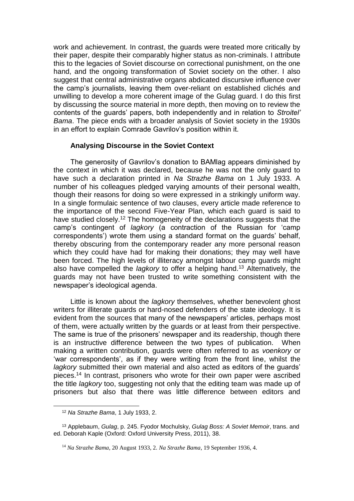work and achievement. In contrast, the guards were treated more critically by their paper, despite their comparably higher status as non-criminals. I attribute this to the legacies of Soviet discourse on correctional punishment, on the one hand, and the ongoing transformation of Soviet society on the other. I also suggest that central administrative organs abdicated discursive influence over the camp's journalists, leaving them over-reliant on established clichés and unwilling to develop a more coherent image of the Gulag guard. I do this first by discussing the source material in more depth, then moving on to review the contents of the guards' papers, both independently and in relation to *Stroitel' Bama*. The piece ends with a broader analysis of Soviet society in the 1930s in an effort to explain Comrade Gavrilov's position within it.

## **Analysing Discourse in the Soviet Context**

The generosity of Gavrilov's donation to BAMlag appears diminished by the context in which it was declared, because he was not the only guard to have such a declaration printed in *Na Strazhe Bama* on 1 July 1933. A number of his colleagues pledged varying amounts of their personal wealth, though their reasons for doing so were expressed in a strikingly uniform way. In a single formulaic sentence of two clauses, every article made reference to the importance of the second Five-Year Plan, which each guard is said to have studied closely.<sup>12</sup> The homogeneity of the declarations suggests that the camp's contingent of *lagkory* (a contraction of the Russian for 'camp correspondents') wrote them using a standard format on the guards' behalf, thereby obscuring from the contemporary reader any more personal reason which they could have had for making their donations; they may well have been forced. The high levels of illiteracy amongst labour camp guards might also have compelled the *lagkory* to offer a helping hand.<sup>13</sup> Alternatively, the guards may not have been trusted to write something consistent with the newspaper's ideological agenda.

Little is known about the *lagkory* themselves, whether benevolent ghost writers for illiterate guards or hard-nosed defenders of the state ideology. It is evident from the sources that many of the newspapers' articles, perhaps most of them, were actually written by the guards or at least from their perspective. The same is true of the prisoners' newspaper and its readership, though there is an instructive difference between the two types of publication. When making a written contribution, guards were often referred to as *voenkory* or 'war correspondents', as if they were writing from the front line, whilst the *lagkory* submitted their own material and also acted as editors of the guards' pieces. <sup>14</sup> In contrast, prisoners who wrote for their own paper were ascribed the title *lagkory* too, suggesting not only that the editing team was made up of prisoners but also that there was little difference between editors and

<sup>12</sup> *Na Strazhe Bama*, 1 July 1933, 2.

<sup>13</sup> Applebaum, *Gulag*, p. 245. Fyodor Mochulsky, *Gulag Boss: A Soviet Memoir*, trans. and ed. Deborah Kaple (Oxford: Oxford University Press, 2011), 38.

<sup>14</sup> *Na Strazhe Bama*, 20 August 1933, 2. *Na Strazhe Bama*, 19 September 1936, 4.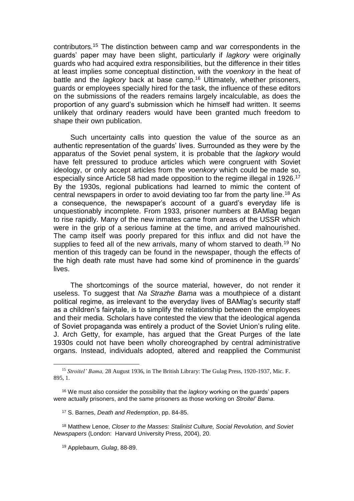contributors*.* <sup>15</sup> The distinction between camp and war correspondents in the guards' paper may have been slight, particularly if *lagkory* were originally guards who had acquired extra responsibilities, but the difference in their titles at least implies some conceptual distinction, with the *voenkory* in the heat of battle and the *lagkory* back at base camp.<sup>16</sup> Ultimately, whether prisoners, guards or employees specially hired for the task, the influence of these editors on the submissions of the readers remains largely incalculable, as does the proportion of any guard's submission which he himself had written. It seems unlikely that ordinary readers would have been granted much freedom to shape their own publication.

Such uncertainty calls into question the value of the source as an authentic representation of the guards' lives. Surrounded as they were by the apparatus of the Soviet penal system, it is probable that the *lagkory* would have felt pressured to produce articles which were congruent with Soviet ideology, or only accept articles from the *voenkory* which could be made so, especially since Article 58 had made opposition to the regime illegal in 1926.<sup>17</sup> By the 1930s, regional publications had learned to mimic the content of central newspapers in order to avoid deviating too far from the party line.<sup>18</sup> As a consequence, the newspaper's account of a guard's everyday life is unquestionably incomplete. From 1933, prisoner numbers at BAMlag began to rise rapidly. Many of the new inmates came from areas of the USSR which were in the grip of a serious famine at the time, and arrived malnourished. The camp itself was poorly prepared for this influx and did not have the supplies to feed all of the new arrivals, many of whom starved to death.<sup>19</sup> No mention of this tragedy can be found in the newspaper, though the effects of the high death rate must have had some kind of prominence in the guards' lives.

The shortcomings of the source material, however, do not render it useless. To suggest that *Na Strazhe Bama* was a mouthpiece of a distant political regime, as irrelevant to the everyday lives of BAMlag's security staff as a children's fairytale, is to simplify the relationship between the employees and their media. Scholars have contested the view that the ideological agenda of Soviet propaganda was entirely a product of the Soviet Union's ruling elite. J. Arch Getty, for example, has argued that the Great Purges of the late 1930s could not have been wholly choreographed by central administrative organs. Instead, individuals adopted, altered and reapplied the Communist

- <sup>17</sup> S. Barnes, *Death and Redemption*, pp. 84-85.
- <sup>18</sup> Matthew Lenoe, *Closer to the Masses: Stalinist Culture, Social Revolution, and Soviet Newspapers* (London: Harvard University Press, 2004), 20.

<sup>15</sup> *Stroitel' Bama,* 28 August 1936, in The British Library: The Gulag Press, 1920-1937, Mic. F. 895, 1.

<sup>16</sup> We must also consider the possibility that the *lagkory* working on the guards' papers were actually prisoners, and the same prisoners as those working on *Stroitel' Bama*.

<sup>19</sup> Applebaum, *Gulag*, 88-89.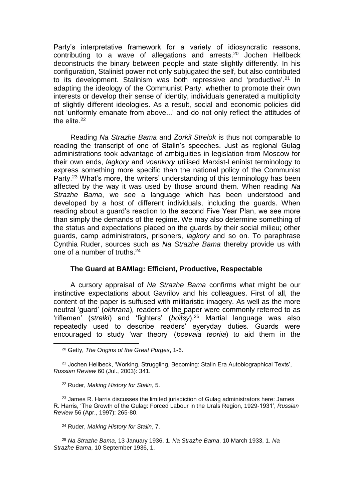Party's interpretative framework for a variety of idiosyncratic reasons, contributing to a wave of allegations and arrests.<sup>20</sup> Jochen Hellbeck deconstructs the binary between people and state slightly differently. In his configuration, Stalinist power not only subjugated the self, but also contributed to its development. Stalinism was both repressive and 'productive'.<sup>21</sup> In adapting the ideology of the Communist Party, whether to promote their own interests or develop their sense of identity, individuals generated a multiplicity of slightly different ideologies. As a result, social and economic policies did not 'uniformly emanate from above...' and do not only reflect the attitudes of the elite.<sup>22</sup>

Reading *Na Strazhe Bama* and *Zorkiĭ Strelok* is thus not comparable to reading the transcript of one of Stalin's speeches. Just as regional Gulag administrations took advantage of ambiguities in legislation from Moscow for their own ends, *lagkory* and *voenkory* utilised Marxist-Leninist terminology to express something more specific than the national policy of the Communist Party.<sup>23</sup> What's more, the writers' understanding of this terminology has been affected by the way it was used by those around them. When reading *Na Strazhe Bama*, we see a language which has been understood and developed by a host of different individuals, including the guards. When reading about a guard's reaction to the second Five Year Plan, we see more than simply the demands of the regime. We may also determine something of the status and expectations placed on the guards by their social milieu; other guards, camp administrators, prisoners, *lagkory* and so on. To paraphrase Cynthia Ruder, sources such as *Na Strazhe Bama* thereby provide us with one of a number of truths. 24

## **The Guard at BAMlag: Efficient, Productive, Respectable**

A cursory appraisal of *Na Strazhe Bama* confirms what might be our instinctive expectations about Gavrilov and his colleagues. First of all, the content of the paper is suffused with militaristic imagery. As well as the more neutral 'guard' (*okhrana*)*,* readers of the paper were commonly referred to as 'riflemen' (*strelki*) and 'fighters' (*boĭ͡tsy*).<sup>25</sup> Martial language was also repeatedly used to describe readers' everyday duties. Guards were encouraged to study 'war theory' (*boeva͡ia teoriia*) to aid them in the

<sup>20</sup> Getty, *The Origins of the Great Purges*, 1-6.

<sup>21</sup> Jochen Hellbeck, 'Working, Struggling, Becoming: Stalin Era Autobiographical Texts', *Russian Review* 60 (Jul., 2003): 341.

<sup>22</sup> Ruder, *Making History for Stalin*, 5.

<sup>&</sup>lt;sup>23</sup> James R. Harris discusses the limited jurisdiction of Gulag administrators here: James R. Harris, 'The Growth of the Gulag: Forced Labour in the Urals Region, 1929-1931', *Russian Review* 56 (Apr., 1997): 265-80.

<sup>24</sup> Ruder, *Making History for Stalin*, 7.

<sup>25</sup> *Na Strazhe Bama*, 13 January 1936, 1. *Na Strazhe Bama*, 10 March 1933, 1. *Na Strazhe Bama*, 10 September 1936, 1.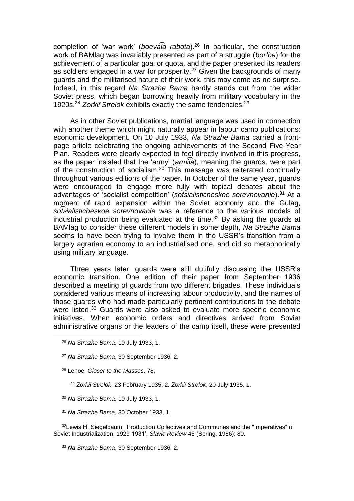completion of 'war work' (*boeva͡ia rabota*).<sup>26</sup> In particular, the construction work of BAMlag was invariably presented as part of a struggle (*bor'ba*) for the achievement of a particular goal or quota, and the paper presented its readers as soldiers engaged in a war for prosperity.<sup>27</sup> Given the backgrounds of many guards and the militarised nature of their work, this may come as no surprise. Indeed, in this regard *Na Strazhe Bama* hardly stands out from the wider Soviet press, which began borrowing heavily from military vocabulary in the 1920s.<sup>28</sup> *Zorkiĭ Strelok* exhibits exactly the same tendencies.<sup>29</sup>

As in other Soviet publications, martial language was used in connection with another theme which might naturally appear in labour camp publications: economic development. On 10 July 1933, *Na Strazhe Bama* carried a frontpage article celebrating the ongoing achievements of the Second Five-Year Plan. Readers were clearly expected to feel directly involved in this progress, as the paper insisted that the 'army' (*armi͡ia*), meaning the guards, were part of the construction of socialism.<sup>30</sup> This message was reiterated continually throughout various editions of the paper. In October of the same year, guards were encouraged to engage more fully with topical debates about the advantages of 'socialist competition' (*so͡tsialisticheskoe sorevnovanie*).<sup>31</sup> At a moment of rapid expansion within the Soviet economy and the Gulag, *so͡tsialisticheskoe sorevnovanie* was a reference to the various models of industrial production being evaluated at the time.<sup>32</sup> By asking the quards at BAMlag to consider these different models in some depth, *Na Strazhe Bama* seems to have been trying to involve them in the USSR's transition from a largely agrarian economy to an industrialised one, and did so metaphorically using military language.

Three years later, guards were still dutifully discussing the USSR's economic transition. One edition of their paper from September 1936 described a meeting of guards from two different brigades. These individuals considered various means of increasing labour productivity, and the names of those guards who had made particularly pertinent contributions to the debate were listed.<sup>33</sup> Guards were also asked to evaluate more specific economic initiatives. When economic orders and directives arrived from Soviet administrative organs or the leaders of the camp itself, these were presented

 $\overline{a}$ 

<sup>28</sup> Lenoe, *Closer to the Masses*, 78.

<sup>29</sup> *Zorkiĭ Strelok*, 23 February 1935, 2. *Zorkiĭ Strelok*, 20 July 1935, 1.

<sup>30</sup> *Na Strazhe Bama*, 10 July 1933, 1.

<sup>31</sup> *Na Strazhe Bama*, 30 October 1933, 1.

32Lewis H. Siegelbaum, 'Production Collectives and Communes and the "Imperatives" of Soviet Industrialization, 1929-1931', *Slavic Review* 45 (Spring, 1986): 80.

<sup>33</sup> *Na Strazhe Bama*, 30 September 1936, 2.

<sup>26</sup> *Na Strazhe Bama*, 10 July 1933, 1.

<sup>27</sup> *Na Strazhe Bama*, 30 September 1936, 2.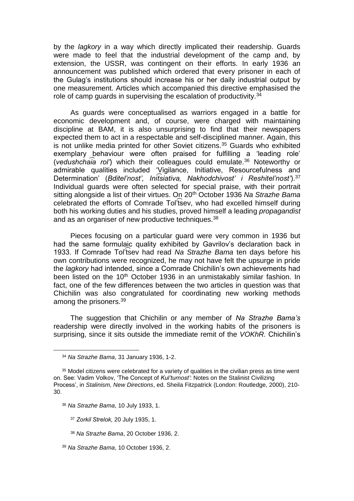by the *lagkory* in a way which directly implicated their readership. Guards were made to feel that the industrial development of the camp and, by extension, the USSR, was contingent on their efforts. In early 1936 an announcement was published which ordered that every prisoner in each of the Gulag's institutions should increase his or her daily industrial output by one measurement. Articles which accompanied this directive emphasised the role of camp guards in supervising the escalation of productivity.<sup>34</sup>

As guards were conceptualised as warriors engaged in a battle for economic development and, of course, were charged with maintaining discipline at BAM, it is also unsurprising to find that their newspapers expected them to act in a respectable and self-disciplined manner. Again, this is not unlike media printed for other Soviet citizens.<sup>35</sup> Guards who exhibited exemplary behaviour were often praised for fulfilling a 'leading role' (*vedushcha͡ia rol'*) which their colleagues could emulate.<sup>36</sup> Noteworthy or admirable qualities included 'Vigilance, Initiative, Resourcefulness and Determination' (*Bditel'nost', Ini͡tsiativa, Nakhodchivost' i Reshitel'nost'*).<sup>37</sup> Individual guards were often selected for special praise, with their portrait sitting alongside a list of their virtues. On 20th October 1936 *Na Strazhe Bama*  celebrated the efforts of Comrade Tol'͡tsev, who had excelled himself during both his working duties and his studies, proved himself a leading *propagandist*  and as an organiser of new productive techniques.<sup>38</sup>

Pieces focusing on a particular guard were very common in 1936 but had the same formulaic quality exhibited by Gavrilov's declaration back in 1933. If Comrade Tol'͡tsev had read *Na Strazhe Bama* ten days before his own contributions were recognized, he may not have felt the upsurge in pride the *lagkory* had intended, since a Comrade Chichilin's own achievements had been listed on the 10<sup>th</sup> October 1936 in an unmistakably similar fashion. In fact, one of the few differences between the two articles in question was that Chichilin was also congratulated for coordinating new working methods among the prisoners.<sup>39</sup>

The suggestion that Chichilin or any member of *Na Strazhe Bama's*  readership were directly involved in the working habits of the prisoners is surprising, since it sits outside the immediate remit of the *VOKhR.* Chichilin's

- <sup>36</sup> *Na Strazhe Bama*, 10 July 1933, 1.
	- <sup>37</sup> *Zorkiĭ Strelok,* 20 July 1935, 1.
	- <sup>38</sup> *Na Strazhe Bama*, 20 October 1936, 2.
- <sup>39</sup> *Na Strazhe Bama*, 10 October 1936, 2.

<sup>34</sup> *Na Strazhe Bama*, 31 January 1936, 1-2.

<sup>&</sup>lt;sup>35</sup> Model citizens were celebrated for a variety of qualities in the civilian press as time went on. See: Vadim Volkov, 'The Concept of *Kul'turnost'*: Notes on the Stalinist Civilizing Process', in *Stalinism, New Directions*, ed. Sheila Fitzpatrick (London: Routledge, 2000), 210- 30.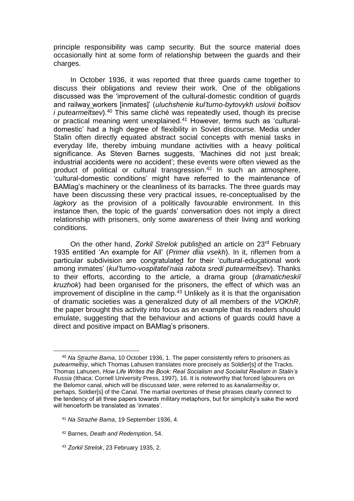principle responsibility was camp security. But the source material does occasionally hint at some form of relationship between the guards and their charges.

In October 1936, it was reported that three guards came together to discuss their obligations and review their work. One of the obligations discussed was the 'improvement of the cultural-domestic condition of guards and railway workers [inmates]' (*uluchshenie kul'turno-bytovykh uslovii boĭ͡tsov i putearmeitsev*).<sup>40</sup> This same cliché was repeatedly used, though its precise or practical meaning went unexplained.<sup>41</sup> However, terms such as 'culturaldomestic' had a high degree of flexibility in Soviet discourse. Media under Stalin often directly equated abstract social concepts with menial tasks in everyday life, thereby imbuing mundane activities with a heavy political significance. As Steven Barnes suggests, 'Machines did not just break; industrial accidents were no accident'; these events were often viewed as the product of political or cultural transgression.<sup>42</sup> In such an atmosphere, 'cultural-domestic conditions' might have referred to the maintenance of BAMlag's machinery or the cleanliness of its barracks. The three guards may have been discussing these very practical issues, re-conceptualised by the *lagkory* as the provision of a politically favourable environment. In this instance then, the topic of the guards' conversation does not imply a direct relationship with prisoners, only some awareness of their living and working conditions.

On the other hand, *Zorkiĭ Strelok* published an article on 23rd February 1935 entitled 'An example for All' (*Primer dl͡ia vsekh*). In it, riflemen from a particular subdivision are congratulated for their 'cultural-educational work among inmates' (*kul'turno-vospitatel'naia rabota sredi putearmeĭtsev*). Thanks to their efforts, according to the article, a drama group (*dramaticheskiĭ kruzhok*) had been organised for the prisoners, the effect of which was an improvement of discipline in the camp.<sup>43</sup> Unlikely as it is that the organisation of dramatic societies was a generalized duty of all members of the *VOKhR*, the paper brought this activity into focus as an example that its readers should emulate, suggesting that the behaviour and actions of guards could have a direct and positive impact on BAMlag's prisoners.

<sup>40</sup> *Na Strazhe Bama*, 10 October 1936, 1. The paper consistently refers to prisoners as *putearmeĭ͡tsy*, which Thomas Lahusen translates more precisely as Soldier[s] of the Tracks. Thomas Lahusen, *How Life Writes the Book: Real Socialism and Socialist Realism in Stalin's Russia* (Ithaca: Cornell University Press, 1997), 16. It is noteworthy that forced labourers on the Belomor canal, which will be discussed later, were referred to as *kanalarmeĭ͡tsy* or, perhaps, Soldier[s] of the Canal. The martial overtones of these phrases clearly connect to the tendency of all three papers towards military metaphors, but for simplicity's sake the word will henceforth be translated as 'inmates'.

<sup>41</sup> *Na Strazhe Bama*, 19 September 1936, 4.

<sup>42</sup> Barnes, *Death and Redemption*, 54.

<sup>43</sup> *Zorkiĭ Strelok*, 23 February 1935, 2.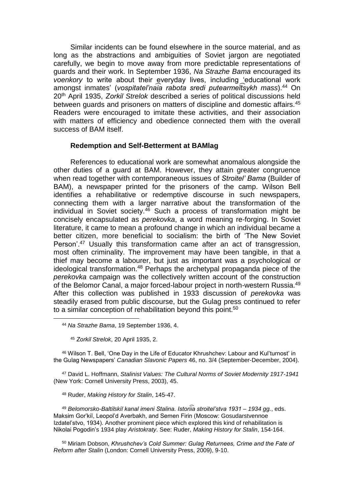Similar incidents can be found elsewhere in the source material, and as long as the abstractions and ambiguities of Soviet jargon are negotiated carefully, we begin to move away from more predictable representations of guards and their work. In September 1936, *Na Strazhe Bama* encouraged its *voenkory* to write about their everyday lives, including 'educational work amongst inmates' (*vospitatel'na͡ia rabota sredi putearmeĭ͡tsykh mass*).<sup>44</sup> On 20th April 1935, *Zorkiĭ Strelok* described a series of political discussions held between guards and prisoners on matters of discipline and domestic affairs.<sup>45</sup> Readers were encouraged to imitate these activities, and their association with matters of efficiency and obedience connected them with the overall success of BAM itself.

## **Redemption and Self-Betterment at BAMlag**

References to educational work are somewhat anomalous alongside the other duties of a guard at BAM. However, they attain greater congruence when read together with contemporaneous issues of *Stroitel' Bama* (Builder of BAM), a newspaper printed for the prisoners of the camp. Wilson Bell identifies a rehabilitative or redemptive discourse in such newspapers, connecting them with a larger narrative about the transformation of the individual in Soviet society.<sup>46</sup> Such a process of transformation might be concisely encapsulated as *perekovka*, a word meaning re-forging. In Soviet literature, it came to mean a profound change in which an individual became a better citizen, more beneficial to socialism: the birth of 'The New Soviet Person'.<sup>47</sup> Usually this transformation came after an act of transgression, most often criminality. The improvement may have been tangible, in that a thief may become a labourer, but just as important was a psychological or ideological transformation.<sup>48</sup> Perhaps the archetypal propaganda piece of the *perekovka* campaign was the collectively written account of the construction of the Belomor Canal, a major forced-labour project in north-western Russia.<sup>49</sup> After this collection was published in 1933 discussion of *perekovka* was steadily erased from public discourse, but the Gulag press continued to refer to a similar conception of rehabilitation beyond this point.<sup>50</sup>  $\overline{a}$ 

<sup>46</sup> Wilson T. Bell, 'One Day in the Life of Educator Khrushchev: Labour and Kul'turnost' in the Gulag Newspapers' *Canadian Slavonic Papers* 46, no. 3/4 (September-December, 2004).

<sup>47</sup> David L. Hoffmann, *Stalinist Values: The Cultural Norms of Soviet Modernity 1917-1941* (New York: Cornell University Press, 2003), 45.

<sup>48</sup> Ruder, *Making History for Stalin*, 145-47.

<sup>49</sup> *Belomorsko-Baltiĭskiĭ kanal imeni Stalina. Istori͡ia stroitel'stva 1931 – 1934 gg.*, eds. Maksim Gor'kiĭ, Leopol'd Averbakh, and Semen Firin (Moscow: Gosudarstvennoe Izdatel'stvo, 1934). Another prominent piece which explored this kind of rehabilitation is Nikolai Pogodin's 1934 play *Aristokraty*. See: Ruder, *Making History for Stalin*, 154-164.

<sup>50</sup> Miriam Dobson, *Khrushchev's Cold Summer: Gulag Returnees, Crime and the Fate of Reform after Stalin* (London: Cornell University Press, 2009), 9-10.

<sup>44</sup> *Na Strazhe Bama*, 19 September 1936, 4.

<sup>45</sup> *Zorkiĭ Strelok*, 20 April 1935, 2.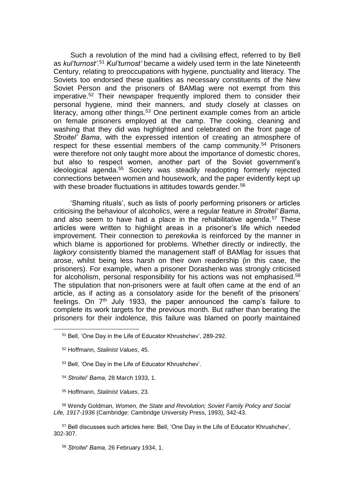Such a revolution of the mind had a civilising effect, referred to by Bell as *kul'turnost'.*<sup>51</sup> K*ul'turnost'* became a widely used term in the late Nineteenth Century, relating to preoccupations with hygiene, punctuality and literacy. The Soviets too endorsed these qualities as necessary constituents of the New Soviet Person and the prisoners of BAMlag were not exempt from this imperative.<sup>52</sup> Their newspaper frequently implored them to consider their personal hygiene, mind their manners, and study closely at classes on literacy, among other things.<sup>53</sup> One pertinent example comes from an article on female prisoners employed at the camp. The cooking, cleaning and washing that they did was highlighted and celebrated on the front page of *Stroitel' Bama*, with the expressed intention of creating an atmosphere of respect for these essential members of the camp community.<sup>54</sup> Prisoners were therefore not only taught more about the importance of domestic chores, but also to respect women, another part of the Soviet government's ideological agenda.<sup>55</sup> Society was steadily readopting formerly rejected connections between women and housework, and the paper evidently kept up with these broader fluctuations in attitudes towards gender.<sup>56</sup>

'Shaming rituals', such as lists of poorly performing prisoners or articles criticising the behaviour of alcoholics, were a regular feature in *Stroitel' Bama*, and also seem to have had a place in the rehabilitative agenda.<sup>57</sup> These articles were written to highlight areas in a prisoner's life which needed improvement. Their connection to *perekovka* is reinforced by the manner in which blame is apportioned for problems. Whether directly or indirectly, the *lagkory* consistently blamed the management staff of BAMlag for issues that arose, whilst being less harsh on their own readership (in this case, the prisoners). For example, when a prisoner Dorashenko was strongly criticised for alcoholism, personal responsibility for his actions was not emphasised.<sup>58</sup> The stipulation that non-prisoners were at fault often came at the end of an article, as if acting as a consolatory aside for the benefit of the prisoners' feelings. On 7th July 1933, the paper announced the camp's failure to complete its work targets for the previous month. But rather than berating the prisoners for their indolence, this failure was blamed on poorly maintained

 $\overline{a}$ 

- <sup>53</sup> Bell, 'One Day in the Life of Educator Khrushchev'.
- <sup>54</sup> *Stroitel' Bama,* 28 March 1933, 1.
- <sup>55</sup> Hoffmann, *Stalinist Values*, 23.

<sup>56</sup> Wendy Goldman, *Women, the State and Revolution; Soviet Family Policy and Social Life, 1917-1936* (Cambridge: Cambridge University Press, 1993), 342-43.

<sup>57</sup> Bell discusses such articles here: Bell, 'One Day in the Life of Educator Khrushchev', 302-307.

<sup>58</sup> *Stroitel' Bama,* 26 February 1934, 1.

<sup>51</sup> Bell, 'One Day in the Life of Educator Khrushchev', 289-292.

<sup>52</sup> Hoffmann, *Stalinist Values*, 45.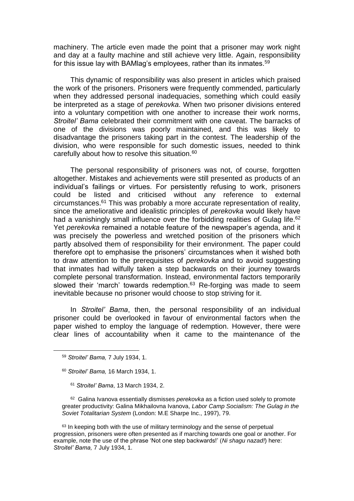machinery. The article even made the point that a prisoner may work night and day at a faulty machine and still achieve very little. Again, responsibility for this issue lay with BAMlag's employees, rather than its inmates.<sup>59</sup>

This dynamic of responsibility was also present in articles which praised the work of the prisoners. Prisoners were frequently commended, particularly when they addressed personal inadequacies, something which could easily be interpreted as a stage of *perekovka*. When two prisoner divisions entered into a voluntary competition with one another to increase their work norms, *Stroitel' Bama* celebrated their commitment with one caveat. The barracks of one of the divisions was poorly maintained, and this was likely to disadvantage the prisoners taking part in the contest. The leadership of the division, who were responsible for such domestic issues, needed to think carefully about how to resolve this situation.<sup>60</sup>

The personal responsibility of prisoners was not, of course, forgotten altogether. Mistakes and achievements were still presented as products of an individual's failings or virtues. For persistently refusing to work, prisoners could be listed and criticised without any reference to external circumstances.<sup>61</sup> This was probably a more accurate representation of reality, since the ameliorative and idealistic principles of *perekovka* would likely have had a vanishingly small influence over the forbidding realities of Gulag life.<sup>62</sup> Yet *perekovka* remained a notable feature of the newspaper's agenda, and it was precisely the powerless and wretched position of the prisoners which partly absolved them of responsibility for their environment. The paper could therefore opt to emphasise the prisoners' circumstances when it wished both to draw attention to the prerequisites of *perekovka* and to avoid suggesting that inmates had wilfully taken a step backwards on their journey towards complete personal transformation. Instead, environmental factors temporarily slowed their 'march' towards redemption.<sup>63</sup> Re-forging was made to seem inevitable because no prisoner would choose to stop striving for it.

In *Stroitel' Bama*, then, the personal responsibility of an individual prisoner could be overlooked in favour of environmental factors when the paper wished to employ the language of redemption. However, there were clear lines of accountability when it came to the maintenance of the

 $\overline{a}$ 

<sup>61</sup> *Stroitel' Bama*, 13 March 1934, 2.

62 Galina Ivanova essentially dismisses *perekovka* as a fiction used solely to promote greater productivity: Galina Mikhailovna Ivanova, *Labor Camp Socialism: The Gulag in the Soviet Totalitarian System* (London: M.E Sharpe Inc., 1997), 79.

<sup>63</sup> In keeping both with the use of military terminology and the sense of perpetual progression, prisoners were often presented as if marching towards one goal or another. For example, note the use of the phrase 'Not one step backwards!' (*Ni shagu nazad!*) here: *Stroitel' Bama,* 7 July 1934, 1.

<sup>59</sup> *Stroitel' Bama,* 7 July 1934, 1.

<sup>60</sup> *Stroitel' Bama,* 16 March 1934, 1.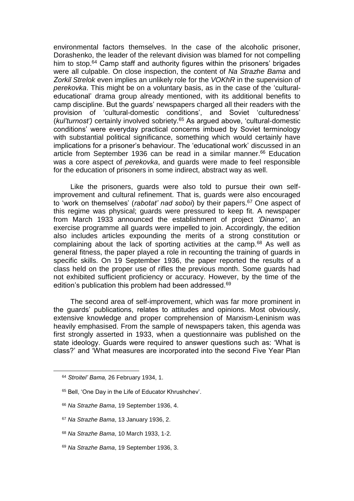environmental factors themselves. In the case of the alcoholic prisoner, Dorashenko, the leader of the relevant division was blamed for not compelling him to stop.<sup>64</sup> Camp staff and authority figures within the prisoners' brigades were all culpable. On close inspection, the content of *Na Strazhe Bama* and *Zorkiĭ Strelok* even implies an unlikely role for the *VOKhR* in the supervision of *perekovka*. This might be on a voluntary basis, as in the case of the 'culturaleducational' drama group already mentioned, with its additional benefits to camp discipline. But the guards' newspapers charged all their readers with the provision of 'cultural-domestic conditions', and Soviet 'culturedness' (*kul'turnost')* certainly involved sobriety.<sup>65</sup> As argued above, 'cultural-domestic conditions' were everyday practical concerns imbued by Soviet terminology with substantial political significance, something which would certainly have implications for a prisoner's behaviour. The 'educational work' discussed in an article from September 1936 can be read in a similar manner. <sup>66</sup> Education was a core aspect of *perekovka*, and guards were made to feel responsible for the education of prisoners in some indirect, abstract way as well.

Like the prisoners, guards were also told to pursue their own selfimprovement and cultural refinement. That is, guards were also encouraged to 'work on themselves' (*rabotat' nad soboi*) by their papers. <sup>67</sup> One aspect of this regime was physical; guards were pressured to keep fit. A newspaper from March 1933 announced the establishment of project *'Dinamo'*, an exercise programme all guards were impelled to join. Accordingly, the edition also includes articles expounding the merits of a strong constitution or complaining about the lack of sporting activities at the camp.<sup>68</sup> As well as general fitness, the paper played a role in recounting the training of guards in specific skills. On 19 September 1936, the paper reported the results of a class held on the proper use of rifles the previous month. Some guards had not exhibited sufficient proficiency or accuracy. However, by the time of the edition's publication this problem had been addressed.<sup>69</sup>

The second area of self-improvement, which was far more prominent in the guards' publications, relates to attitudes and opinions. Most obviously, extensive knowledge and proper comprehension of Marxism-Leninism was heavily emphasised. From the sample of newspapers taken, this agenda was first strongly asserted in 1933, when a questionnaire was published on the state ideology. Guards were required to answer questions such as: 'What is class?' and 'What measures are incorporated into the second Five Year Plan

 $\overline{a}$ 

<sup>69</sup> *Na Strazhe Bama*, 19 September 1936, 3.

<sup>64</sup> *Stroitel' Bama,* 26 February 1934, 1.

<sup>65</sup> Bell, 'One Day in the Life of Educator Khrushchev'.

<sup>66</sup> *Na Strazhe Bama*, 19 September 1936, 4.

<sup>67</sup> *Na Strazhe Bama*, 13 January 1936, 2.

<sup>68</sup> *Na Strazhe Bama*, 10 March 1933, 1-2.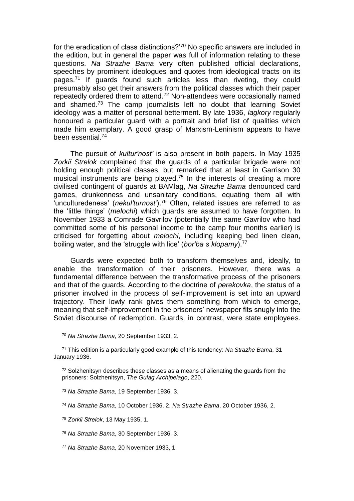for the eradication of class distinctions?'<sup>70</sup> No specific answers are included in the edition, but in general the paper was full of information relating to these questions. *Na Strazhe Bama* very often published official declarations, speeches by prominent ideologues and quotes from ideological tracts on its pages.<sup>71</sup> If guards found such articles less than riveting, they could presumably also get their answers from the political classes which their paper repeatedly ordered them to attend.<sup>72</sup> Non-attendees were occasionally named and shamed.<sup>73</sup> The camp journalists left no doubt that learning Soviet ideology was a matter of personal betterment. By late 1936, *lagkory* regularly honoured a particular guard with a portrait and brief list of qualities which made him exemplary. A good grasp of Marxism-Leninism appears to have been essential.<sup>74</sup>

The pursuit of *kultur'nost'* is also present in both papers. In May 1935 *Zorkiĭ Strelok* complained that the guards of a particular brigade were not holding enough political classes, but remarked that at least in Garrison 30 musical instruments are being played.<sup>75</sup> In the interests of creating a more civilised contingent of guards at BAMlag, *Na Strazhe Bama* denounced card games, drunkenness and unsanitary conditions, equating them all with 'unculturedeness' (*nekul'turnost'*).<sup>76</sup> Often, related issues are referred to as the 'little things' (*melochi*) which guards are assumed to have forgotten. In November 1933 a Comrade Gavrilov (potentially the same Gavrilov who had committed some of his personal income to the camp four months earlier) is criticised for forgetting about *melochi*, including keeping bed linen clean, boiling water, and the 'struggle with lice' (*bor'ba s klopamy*).<sup>77</sup>

Guards were expected both to transform themselves and, ideally, to enable the transformation of their prisoners. However, there was a fundamental difference between the transformative process of the prisoners and that of the guards. According to the doctrine of *perekovka*, the status of a prisoner involved in the process of self-improvement is set into an upward trajectory. Their lowly rank gives them something from which to emerge, meaning that self-improvement in the prisoners' newspaper fits snugly into the Soviet discourse of redemption. Guards, in contrast, were state employees.

 $\overline{a}$ 

- <sup>73</sup> *Na Strazhe Bama*, 19 September 1936, 3.
- <sup>74</sup> *Na Strazhe Bama*, 10 October 1936, 2. *Na Strazhe Bama*, 20 October 1936, 2.
- <sup>75</sup> *Zorkiĭ Strelok*, 13 May 1935, 1.

<sup>77</sup> *Na Strazhe Bama*, 20 November 1933, 1.

<sup>70</sup> *Na Strazhe Bama*, 20 September 1933, 2.

<sup>71</sup> This edition is a particularly good example of this tendency: *Na Strazhe Bama*, 31 January 1936.

 $72$  Solzhenitsyn describes these classes as a means of alienating the guards from the prisoners: Solzhenitsyn, *The Gulag Archipelago*, 220.

<sup>76</sup> *Na Strazhe Bama*, 30 September 1936, 3.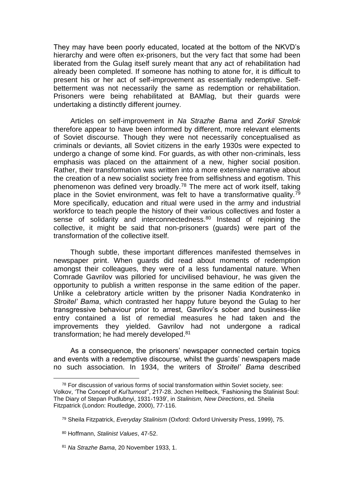They may have been poorly educated, located at the bottom of the NKVD's hierarchy and were often ex-prisoners, but the very fact that some had been liberated from the Gulag itself surely meant that any act of rehabilitation had already been completed. If someone has nothing to atone for, it is difficult to present his or her act of self-improvement as essentially redemptive. Selfbetterment was not necessarily the same as redemption or rehabilitation. Prisoners were being rehabilitated at BAMlag, but their guards were undertaking a distinctly different journey.

Articles on self-improvement in *Na Strazhe Bama* and *Zorkiĭ Strelok* therefore appear to have been informed by different, more relevant elements of Soviet discourse. Though they were not necessarily conceptualised as criminals or deviants, all Soviet citizens in the early 1930s were expected to undergo a change of some kind. For guards, as with other non-criminals, less emphasis was placed on the attainment of a new, higher social position. Rather, their transformation was written into a more extensive narrative about the creation of a new socialist society free from selfishness and egotism. This phenomenon was defined very broadly.<sup>78</sup> The mere act of work itself, taking place in the Soviet environment, was felt to have a transformative quality.<sup>79</sup> More specifically, education and ritual were used in the army and industrial workforce to teach people the history of their various collectives and foster a sense of solidarity and interconnectedness.<sup>80</sup> Instead of rejoining the collective, it might be said that non-prisoners (guards) were part of the transformation of the collective itself.

Though subtle, these important differences manifested themselves in newspaper print. When guards did read about moments of redemption amongst their colleagues, they were of a less fundamental nature. When Comrade Gavrilov was pilloried for uncivilised behaviour, he was given the opportunity to publish a written response in the same edition of the paper. Unlike a celebratory article written by the prisoner Nadia Kondratenko in *Stroitel' Bama*, which contrasted her happy future beyond the Gulag to her transgressive behaviour prior to arrest, Gavrilov's sober and business-like entry contained a list of remedial measures he had taken and the improvements they yielded. Gavrilov had not undergone a radical transformation; he had merely developed.<sup>81</sup>

As a consequence, the prisoners' newspaper connected certain topics and events with a redemptive discourse, whilst the guards' newspapers made no such association. In 1934, the writers of *Stroitel' Bama* described

<sup>&</sup>lt;sup>78</sup> For discussion of various forms of social transformation within Soviet society, see: Volkov, 'The Concept of *Kul'turnost'*', 217-28. Jochen Hellbeck, 'Fashioning the Stalinist Soul: The Diary of Stepan Pudlubnyi, 1931-1939', in *Stalinism, New Directions*, ed. Sheila Fitzpatrick (London: Routledge, 2000), 77-116.

<sup>79</sup> Sheila Fitzpatrick, *Everyday Stalinism* (Oxford: Oxford University Press, 1999), 75.

<sup>80</sup> Hoffmann, *Stalinist Values*, 47-52.

<sup>81</sup> *Na Strazhe Bama*, 20 November 1933, 1.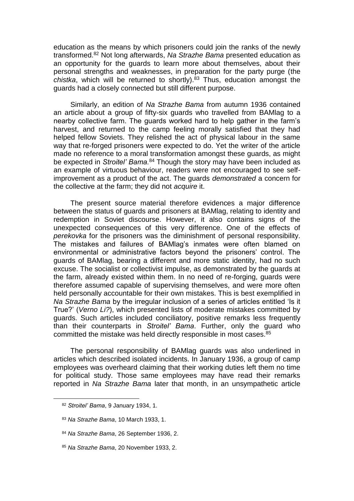education as the means by which prisoners could join the ranks of the newly transformed.<sup>82</sup> Not long afterwards, *Na Strazhe Bama* presented education as an opportunity for the guards to learn more about themselves, about their personal strengths and weaknesses, in preparation for the party purge (the chistka, which will be returned to shortly).<sup>83</sup> Thus, education amongst the guards had a closely connected but still different purpose.

Similarly, an edition of *Na Strazhe Bama* from autumn 1936 contained an article about a group of fifty-six guards who travelled from BAMlag to a nearby collective farm. The guards worked hard to help gather in the farm's harvest, and returned to the camp feeling morally satisfied that they had helped fellow Soviets. They relished the act of physical labour in the same way that re-forged prisoners were expected to do. Yet the writer of the article made no reference to a moral transformation amongst these guards, as might be expected in *Stroitel' Bama.*<sup>84</sup> Though the story may have been included as an example of virtuous behaviour, readers were not encouraged to see selfimprovement as a product of the act. The guards *demonstrated* a concern for the collective at the farm; they did not *acquire* it.

The present source material therefore evidences a major difference between the status of guards and prisoners at BAMlag, relating to identity and redemption in Soviet discourse. However, it also contains signs of the unexpected consequences of this very difference. One of the effects of *perekovka* for the prisoners was the diminishment of personal responsibility. The mistakes and failures of BAMlag's inmates were often blamed on environmental or administrative factors beyond the prisoners' control. The guards of BAMlag, bearing a different and more static identity, had no such excuse. The socialist or collectivist impulse, as demonstrated by the guards at the farm, already existed within them. In no need of re-forging, guards were therefore assumed capable of supervising themselves, and were more often held personally accountable for their own mistakes. This is best exemplified in *Na Strazhe Bama* by the irregular inclusion of a series of articles entitled 'Is it True?' (*Verno Li?*), which presented lists of moderate mistakes committed by guards. Such articles included conciliatory, positive remarks less frequently than their counterparts in *Stroitel' Bama*. Further, only the guard who committed the mistake was held directly responsible in most cases.<sup>85</sup>

The personal responsibility of BAMlag guards was also underlined in articles which described isolated incidents. In January 1936, a group of camp employees was overheard claiming that their working duties left them no time for political study. Those same employees may have read their remarks reported in *Na Strazhe Bama* later that month, in an unsympathetic article

<sup>82</sup> *Stroitel' Bama*, 9 January 1934, 1.

<sup>83</sup> *Na Strazhe Bama*, 10 March 1933, 1.

<sup>84</sup> *Na Strazhe Bama*, 26 September 1936, 2.

<sup>85</sup> *Na Strazhe Bama*, 20 November 1933, 2.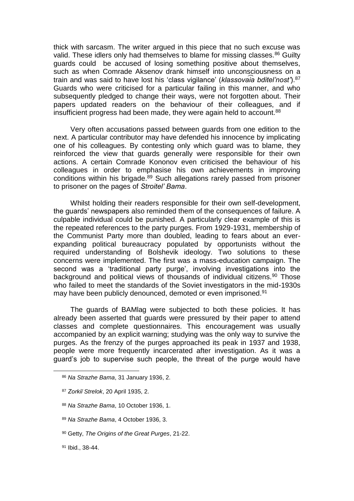thick with sarcasm. The writer argued in this piece that no such excuse was valid. These idlers only had themselves to blame for missing classes.<sup>86</sup> Guilty guards could be accused of losing something positive about themselves, such as when Comrade Aksenov drank himself into unconsciousness on a train and was said to have lost his 'class vigilance' (*klassovaia bditel'nost'*).<sup>87</sup> Guards who were criticised for a particular failing in this manner, and who subsequently pledged to change their ways, were not forgotten about. Their papers updated readers on the behaviour of their colleagues, and if insufficient progress had been made, they were again held to account.<sup>88</sup>

Very often accusations passed between guards from one edition to the next. A particular contributor may have defended his innocence by implicating one of his colleagues. By contesting only which guard was to blame, they reinforced the view that guards generally were responsible for their own actions. A certain Comrade Kononov even criticised the behaviour of his colleagues in order to emphasise his own achievements in improving conditions within his brigade.<sup>89</sup> Such allegations rarely passed from prisoner to prisoner on the pages of *Stroitel' Bama*.

Whilst holding their readers responsible for their own self-development, the guards' newspapers also reminded them of the consequences of failure. A culpable individual could be punished. A particularly clear example of this is the repeated references to the party purges. From 1929-1931, membership of the Communist Party more than doubled, leading to fears about an everexpanding political bureaucracy populated by opportunists without the required understanding of Bolshevik ideology. Two solutions to these concerns were implemented. The first was a mass-education campaign. The second was a 'traditional party purge', involving investigations into the background and political views of thousands of individual citizens.<sup>90</sup> Those who failed to meet the standards of the Soviet investigators in the mid-1930s may have been publicly denounced, demoted or even imprisoned.<sup>91</sup>

The guards of BAMlag were subjected to both these policies. It has already been asserted that guards were pressured by their paper to attend classes and complete questionnaires. This encouragement was usually accompanied by an explicit warning; studying was the only way to survive the purges. As the frenzy of the purges approached its peak in 1937 and 1938, people were more frequently incarcerated after investigation. As it was a guard's job to supervise such people, the threat of the purge would have

<sup>86</sup> *Na Strazhe Bama*, 31 January 1936, 2.

<sup>87</sup> *Zorkiĭ Strelok*, 20 April 1935, 2.

<sup>88</sup> *Na Strazhe Bama*, 10 October 1936, 1.

<sup>89</sup> *Na Strazhe Bama*, 4 October 1936, 3.

<sup>90</sup> Getty, *The Origins of the Great Purges*, 21-22.

<sup>91</sup> Ibid., 38-44.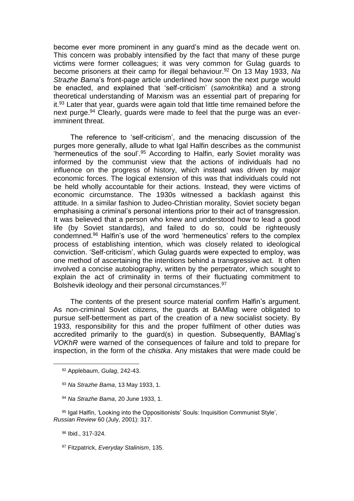become ever more prominent in any guard's mind as the decade went on. This concern was probably intensified by the fact that many of these purge victims were former colleagues; it was very common for Gulag guards to become prisoners at their camp for illegal behaviour.<sup>92</sup> On 13 May 1933, *Na Strazhe Bama*'s front-page article underlined how soon the next purge would be enacted, and explained that 'self-criticism' (*samokritika*) and a strong theoretical understanding of Marxism was an essential part of preparing for it.<sup>93</sup> Later that year, guards were again told that little time remained before the next purge.<sup>94</sup> Clearly, guards were made to feel that the purge was an everimminent threat.

The reference to 'self-criticism', and the menacing discussion of the purges more generally, allude to what Igal Halfin describes as the communist 'hermeneutics of the soul'.<sup>95</sup> According to Halfin, early Soviet morality was informed by the communist view that the actions of individuals had no influence on the progress of history, which instead was driven by major economic forces. The logical extension of this was that individuals could not be held wholly accountable for their actions. Instead, they were victims of economic circumstance. The 1930s witnessed a backlash against this attitude. In a similar fashion to Judeo-Christian morality, Soviet society began emphasising a criminal's personal intentions prior to their act of transgression. It was believed that a person who knew and understood how to lead a good life (by Soviet standards), and failed to do so, could be righteously condemned.<sup>96</sup> Halfin's use of the word 'hermeneutics' refers to the complex process of establishing intention, which was closely related to ideological conviction. 'Self-criticism', which Gulag guards were expected to employ, was one method of ascertaining the intentions behind a transgressive act. It often involved a concise autobiography, written by the perpetrator, which sought to explain the act of criminality in terms of their fluctuating commitment to Bolshevik ideology and their personal circumstances.<sup>97</sup>

The contents of the present source material confirm Halfin's argument. As non-criminal Soviet citizens, the guards at BAMlag were obligated to pursue self-betterment as part of the creation of a new socialist society. By 1933, responsibility for this and the proper fulfilment of other duties was accredited primarily to the guard(s) in question. Subsequently, BAMlag's *VOKhR* were warned of the consequences of failure and told to prepare for inspection, in the form of the *chistka*. Any mistakes that were made could be

<sup>94</sup> *Na Strazhe Bama*, 20 June 1933, 1.

<sup>95</sup> Igal Halfin, 'Looking into the Oppositionists' Souls: Inquisition Communist Style'*, Russian Review* 60 (July, 2001): 317.

<sup>96</sup> Ibid., 317-324.

 $\overline{a}$ 

<sup>97</sup> Fitzpatrick, *Everyday Stalinism*, 135.

<sup>92</sup> Applebaum, *Gulag*, 242-43.

<sup>93</sup> *Na Strazhe Bama*, 13 May 1933, 1.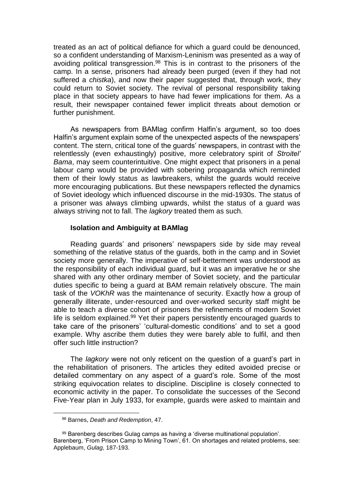treated as an act of political defiance for which a guard could be denounced, so a confident understanding of Marxism-Leninism was presented as a way of avoiding political transgression.<sup>98</sup> This is in contrast to the prisoners of the camp. In a sense, prisoners had already been purged (even if they had not suffered a *chistka*), and now their paper suggested that, through work, they could return to Soviet society. The revival of personal responsibility taking place in that society appears to have had fewer implications for them. As a result, their newspaper contained fewer implicit threats about demotion or further punishment.

As newspapers from BAMlag confirm Halfin's argument, so too does Halfin's argument explain some of the unexpected aspects of the newspapers' content. The stern, critical tone of the guards' newspapers, in contrast with the relentlessly (even exhaustingly) positive, more celebratory spirit of *Stroitel' Bama*, may seem counterintuitive. One might expect that prisoners in a penal labour camp would be provided with sobering propaganda which reminded them of their lowly status as lawbreakers, whilst the guards would receive more encouraging publications. But these newspapers reflected the dynamics of Soviet ideology which influenced discourse in the mid-1930s. The status of a prisoner was always climbing upwards, whilst the status of a guard was always striving not to fall. The *lagkory* treated them as such.

## **Isolation and Ambiguity at BAMlag**

Reading guards' and prisoners' newspapers side by side may reveal something of the relative status of the guards, both in the camp and in Soviet society more generally. The imperative of self-betterment was understood as the responsibility of each individual guard, but it was an imperative he or she shared with any other ordinary member of Soviet society, and the particular duties specific to being a guard at BAM remain relatively obscure. The main task of the *VOKhR* was the maintenance of security. Exactly how a group of generally illiterate, under-resourced and over-worked security staff might be able to teach a diverse cohort of prisoners the refinements of modern Soviet life is seldom explained.<sup>99</sup> Yet their papers persistently encouraged guards to take care of the prisoners' 'cultural-domestic conditions' and to set a good example. Why ascribe them duties they were barely able to fulfil, and then offer such little instruction?

The *lagkory* were not only reticent on the question of a guard's part in the rehabilitation of prisoners. The articles they edited avoided precise or detailed commentary on any aspect of a guard's role. Some of the most striking equivocation relates to discipline. Discipline is closely connected to economic activity in the paper. To consolidate the successes of the Second Five-Year plan in July 1933, for example, guards were asked to maintain and

<sup>98</sup> Barnes, *Death and Redemption*, 47.

<sup>99</sup> Barenberg describes Gulag camps as having a 'diverse multinational population'. Barenberg, 'From Prison Camp to Mining Town', 61. On shortages and related problems, see: Applebaum, *Gulag*, 187-193.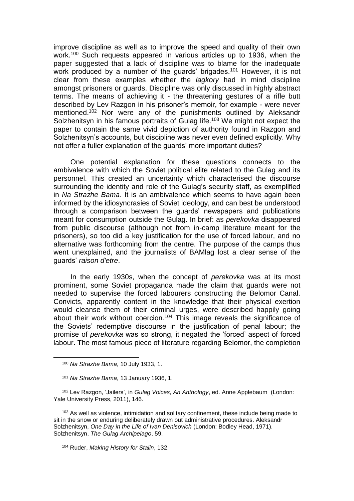improve discipline as well as to improve the speed and quality of their own work.<sup>100</sup> Such requests appeared in various articles up to 1936, when the paper suggested that a lack of discipline was to blame for the inadequate work produced by a number of the guards' brigades.<sup>101</sup> However, it is not clear from these examples whether the *lagkory* had in mind discipline amongst prisoners or guards. Discipline was only discussed in highly abstract terms. The means of achieving it - the threatening gestures of a rifle butt described by Lev Razgon in his prisoner's memoir, for example - were never mentioned.<sup>102</sup> Nor were any of the punishments outlined by Aleksandr Solzhenitsyn in his famous portraits of Gulag life.<sup>103</sup> We might not expect the paper to contain the same vivid depiction of authority found in Razgon and Solzhenitsyn's accounts, but discipline was never even defined explicitly. Why not offer a fuller explanation of the guards' more important duties?

One potential explanation for these questions connects to the ambivalence with which the Soviet political elite related to the Gulag and its personnel. This created an uncertainty which characterised the discourse surrounding the identity and role of the Gulag's security staff, as exemplified in *Na Strazhe Bama*. It is an ambivalence which seems to have again been informed by the idiosyncrasies of Soviet ideology, and can best be understood through a comparison between the guards' newspapers and publications meant for consumption outside the Gulag. In brief: as *perekovka* disappeared from public discourse (although not from in-camp literature meant for the prisoners), so too did a key justification for the use of forced labour, and no alternative was forthcoming from the centre. The purpose of the camps thus went unexplained, and the journalists of BAMlag lost a clear sense of the guards' *raison d'etre*.

In the early 1930s, when the concept of *perekovka* was at its most prominent, some Soviet propaganda made the claim that guards were not needed to supervise the forced labourers constructing the Belomor Canal. Convicts, apparently content in the knowledge that their physical exertion would cleanse them of their criminal urges, were described happily going about their work without coercion.<sup>104</sup> This image reveals the significance of the Soviets' redemptive discourse in the justification of penal labour; the promise of *perekovka* was so strong, it negated the 'forced' aspect of forced labour. The most famous piece of literature regarding Belomor, the completion

 $\overline{a}$ 

<sup>103</sup> As well as violence, intimidation and solitary confinement, these include being made to sit in the snow or enduring deliberately drawn out administrative procedures. Aleksandr Solzhenitsyn, *One Day in the Life of Ivan Denisovich* (London: Bodley Head, 1971). Solzhenitsyn, *The Gulag Archipelago*, 59.

<sup>104</sup> Ruder, *Making History for Stalin*, 132.

<sup>100</sup> *Na Strazhe Bama*, 10 July 1933, 1.

<sup>101</sup> *Na Strazhe Bama*, 13 January 1936, 1.

<sup>102</sup> Lev Razgon, 'Jailers', in *Gulag Voices, An Anthology*, ed. Anne Applebaum (London: Yale University Press, 2011), 146.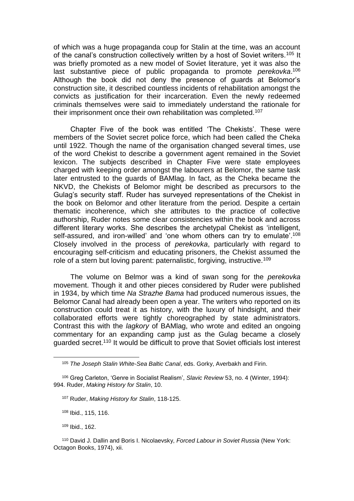of which was a huge propaganda coup for Stalin at the time, was an account of the canal's construction collectively written by a host of Soviet writers.<sup>105</sup> It was briefly promoted as a new model of Soviet literature, yet it was also the last substantive piece of public propaganda to promote *perekovka*. 106 Although the book did not deny the presence of guards at Belomor's construction site, it described countless incidents of rehabilitation amongst the convicts as justification for their incarceration. Even the newly redeemed criminals themselves were said to immediately understand the rationale for their imprisonment once their own rehabilitation was completed.<sup>107</sup>

Chapter Five of the book was entitled 'The Chekists'. These were members of the Soviet secret police force, which had been called the Cheka until 1922. Though the name of the organisation changed several times, use of the word Chekist to describe a government agent remained in the Soviet lexicon. The subjects described in Chapter Five were state employees charged with keeping order amongst the labourers at Belomor, the same task later entrusted to the guards of BAMlag. In fact, as the Cheka became the NKVD, the Chekists of Belomor might be described as precursors to the Gulag's security staff. Ruder has surveyed representations of the Chekist in the book on Belomor and other literature from the period. Despite a certain thematic incoherence, which she attributes to the practice of collective authorship, Ruder notes some clear consistencies within the book and across different literary works. She describes the archetypal Chekist as 'intelligent, self-assured, and iron-willed' and 'one whom others can try to emulate'.<sup>108</sup> Closely involved in the process of *perekovka*, particularly with regard to encouraging self-criticism and educating prisoners, the Chekist assumed the role of a stern but loving parent: paternalistic, forgiving, instructive.<sup>109</sup>

The volume on Belmor was a kind of swan song for the *perekovka*  movement. Though it and other pieces considered by Ruder were published in 1934, by which time *Na Strazhe Bama* had produced numerous issues, the Belomor Canal had already been open a year. The writers who reported on its construction could treat it as history, with the luxury of hindsight, and their collaborated efforts were tightly choreographed by state administrators. Contrast this with the *lagkory* of BAMlag, who wrote and edited an ongoing commentary for an expanding camp just as the Gulag became a closely guarded secret.<sup>110</sup> It would be difficult to prove that Soviet officials lost interest

<sup>109</sup> Ibid., 162.

 $\overline{a}$ 

<sup>110</sup> David J. Dallin and Boris I. Nicolaevsky, *Forced Labour in Soviet Russia* (New York: Octagon Books, 1974), xii.

<sup>105</sup> *The Joseph Stalin White-Sea Baltic Canal*, eds. Gorky, Averbakh and Firin.

<sup>106</sup> Greg Carleton, 'Genre in Socialist Realism', *Slavic Review* 53, no. 4 (Winter, 1994): 994. Ruder, *Making History for Stalin*, 10.

<sup>107</sup> Ruder, *Making History for Stalin*, 118-125.

<sup>108</sup> Ibid., 115, 116.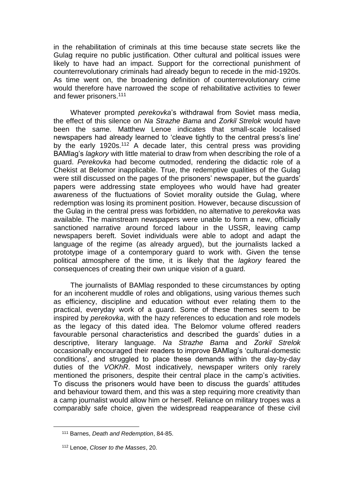in the rehabilitation of criminals at this time because state secrets like the Gulag require no public justification. Other cultural and political issues were likely to have had an impact. Support for the correctional punishment of counterrevolutionary criminals had already begun to recede in the mid-1920s. As time went on, the broadening definition of counterrevolutionary crime would therefore have narrowed the scope of rehabilitative activities to fewer and fewer prisoners.<sup>111</sup>

Whatever prompted *perekovka*'s withdrawal from Soviet mass media, the effect of this silence on *Na Strazhe Bama* and *Zorkiĭ Strelok* would have been the same. Matthew Lenoe indicates that small-scale localised newspapers had already learned to 'cleave tightly to the central press's line' by the early 1920s.<sup>112</sup> A decade later, this central press was providing BAMlag's *lagkory* with little material to draw from when describing the role of a guard. *Perekovka* had become outmoded, rendering the didactic role of a Chekist at Belomor inapplicable. True, the redemptive qualities of the Gulag were still discussed on the pages of the prisoners' newspaper, but the guards' papers were addressing state employees who would have had greater awareness of the fluctuations of Soviet morality outside the Gulag, where redemption was losing its prominent position. However, because discussion of the Gulag in the central press was forbidden, no alternative to *perekovka* was available. The mainstream newspapers were unable to form a new, officially sanctioned narrative around forced labour in the USSR, leaving camp newspapers bereft. Soviet individuals were able to adopt and adapt the language of the regime (as already argued), but the journalists lacked a prototype image of a contemporary guard to work with. Given the tense political atmosphere of the time, it is likely that the *lagkory* feared the consequences of creating their own unique vision of a guard.

The journalists of BAMlag responded to these circumstances by opting for an incoherent muddle of roles and obligations, using various themes such as efficiency, discipline and education without ever relating them to the practical, everyday work of a guard. Some of these themes seem to be inspired by *perekovka*, with the hazy references to education and role models as the legacy of this dated idea. The Belomor volume offered readers favourable personal characteristics and described the guards' duties in a descriptive, literary language. *Na Strazhe Bama* and *Zorkiĭ Strelok* occasionally encouraged their readers to improve BAMlag's 'cultural-domestic conditions', and struggled to place these demands within the day-by-day duties of the *VOKhR*. Most indicatively, newspaper writers only rarely mentioned the prisoners, despite their central place in the camp's activities. To discuss the prisoners would have been to discuss the guards' attitudes and behaviour toward them, and this was a step requiring more creativity than a camp journalist would allow him or herself. Reliance on military tropes was a comparably safe choice, given the widespread reappearance of these civil

<sup>111</sup> Barnes, *Death and Redemption*, 84-85.

<sup>112</sup> Lenoe, *Closer to the Masses*, 20.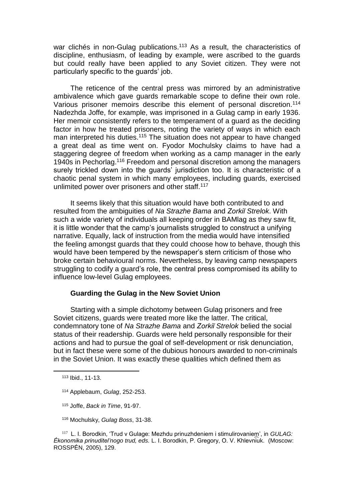war clichés in non-Gulag publications.<sup>113</sup> As a result, the characteristics of discipline, enthusiasm, of leading by example, were ascribed to the guards but could really have been applied to any Soviet citizen. They were not particularly specific to the guards' job.

The reticence of the central press was mirrored by an administrative ambivalence which gave guards remarkable scope to define their own role. Various prisoner memoirs describe this element of personal discretion.<sup>114</sup> Nadezhda Joffe, for example, was imprisoned in a Gulag camp in early 1936. Her memoir consistently refers to the temperament of a guard as the deciding factor in how he treated prisoners, noting the variety of ways in which each man interpreted his duties.<sup>115</sup> The situation does not appear to have changed a great deal as time went on. Fyodor Mochulsky claims to have had a staggering degree of freedom when working as a camp manager in the early 1940s in Pechorlag.<sup>116</sup> Freedom and personal discretion among the managers surely trickled down into the guards' jurisdiction too. It is characteristic of a chaotic penal system in which many employees, including guards, exercised unlimited power over prisoners and other staff.<sup>117</sup>

It seems likely that this situation would have both contributed to and resulted from the ambiguities of *Na Strazhe Bama* and *Zorkiĭ Strelok*. With such a wide variety of individuals all keeping order in BAMlag as they saw fit, it is little wonder that the camp's journalists struggled to construct a unifying narrative. Equally, lack of instruction from the media would have intensified the feeling amongst guards that they could choose how to behave, though this would have been tempered by the newspaper's stern criticism of those who broke certain behavioural norms. Nevertheless, by leaving camp newspapers struggling to codify a guard's role, the central press compromised its ability to influence low-level Gulag employees.

# **Guarding the Gulag in the New Soviet Union**

Starting with a simple dichotomy between Gulag prisoners and free Soviet citizens, guards were treated more like the latter. The critical, condemnatory tone of *Na Strazhe Bama* and *Zorkiĭ Strelok* belied the social status of their readership. Guards were held personally responsible for their actions and had to pursue the goal of self-development or risk denunciation, but in fact these were some of the dubious honours awarded to non-criminals in the Soviet Union. It was exactly these qualities which defined them as

- <sup>114</sup> Applebaum, *Gulag*, 252-253.
- <sup>115</sup> Joffe, *Back in Time*, 91-97.
- <sup>116</sup> Mochulsky, *Gulag Boss*, 31-38.

<sup>113</sup> Ibid., 11-13.

<sup>117</sup> L. I. Borodkin, 'Trud v Gulage: Mezhdu prinuzhdeniem i stimulirovaniem', in *GULAG: Ėkonomika prinuditel'nogo trud, eds.* L. I. Borodkin, P. Gregory, O. V. Khlevn͡iuk. (Moscow: ROSSPĖN, 2005), 129.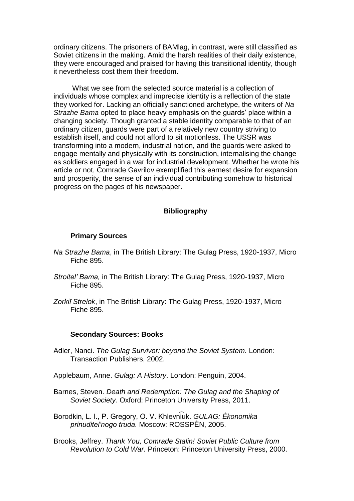ordinary citizens. The prisoners of BAMlag, in contrast, were still classified as Soviet citizens in the making. Amid the harsh realities of their daily existence, they were encouraged and praised for having this transitional identity, though it nevertheless cost them their freedom.

What we see from the selected source material is a collection of individuals whose complex and imprecise identity is a reflection of the state they worked for. Lacking an officially sanctioned archetype, the writers of *Na Strazhe Bama* opted to place heavy emphasis on the guards' place within a changing society. Though granted a stable identity comparable to that of an ordinary citizen, guards were part of a relatively new country striving to establish itself, and could not afford to sit motionless. The USSR was transforming into a modern, industrial nation, and the guards were asked to engage mentally and physically with its construction, internalising the change as soldiers engaged in a war for industrial development. Whether he wrote his article or not, Comrade Gavrilov exemplified this earnest desire for expansion and prosperity, the sense of an individual contributing somehow to historical progress on the pages of his newspaper.

## **Bibliography**

## **Primary Sources**

- *Na Strazhe Bama*, in The British Library: The Gulag Press, 1920-1937, Micro Fiche 895.
- *Stroitel' Bama,* in The British Library: The Gulag Press, 1920-1937, Micro Fiche 895.
- *Zorkiĭ Strelok*, in The British Library: The Gulag Press, 1920-1937, Micro Fiche 895.

### **Secondary Sources: Books**

- Adler, Nanci. *The Gulag Survivor: beyond the Soviet System.* London: Transaction Publishers, 2002.
- Applebaum, Anne. *Gulag: A History*. London: Penguin, 2004.
- Barnes, Steven. *Death and Redemption: The Gulag and the Shaping of Soviet Society.* Oxford: Princeton University Press, 2011.
- Borodkin, L. I., P. Gregory, O. V. Khlevn͡iuk. *GULAG: Ėkonomika prinuditel'nogo truda.* Moscow: ROSSPĖN, 2005.
- Brooks, Jeffrey. *Thank You, Comrade Stalin! Soviet Public Culture from Revolution to Cold War.* Princeton: Princeton University Press, 2000.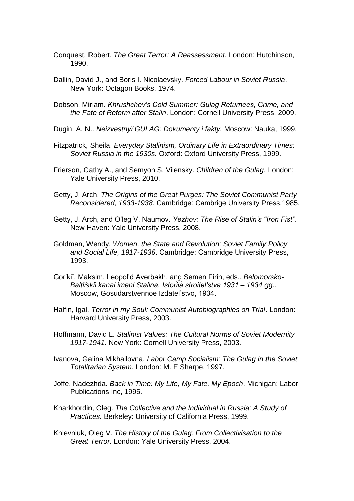- Conquest, Robert. *The Great Terror: A Reassessment.* London: Hutchinson, 1990.
- Dallin, David J., and Boris I. Nicolaevsky. *Forced Labour in Soviet Russia*. New York: Octagon Books, 1974.
- Dobson, Miriam. *Khrushchev's Cold Summer: Gulag Returnees, Crime, and the Fate of Reform after Stalin*. London: Cornell University Press, 2009.
- Dugin, A. N.. *Neizvestnyĭ GULAG: Dokumenty i fakty.* Moscow: Nauka, 1999.
- Fitzpatrick, Sheila. *Everyday Stalinism, Ordinary Life in Extraordinary Times: Soviet Russia in the 1930s.* Oxford: Oxford University Press, 1999.
- Frierson, Cathy A., and Semyon S. Vilensky. *Children of the Gulag*. London: Yale University Press, 2010.
- Getty, J. Arch. *The Origins of the Great Purges: The Soviet Communist Party Reconsidered, 1933-1938.* Cambridge: Cambrige University Press,1985.
- Getty, J. Arch, and O'leg V. Naumov. *Yezhov: The Rise of Stalin's "Iron Fist".*  New Haven: Yale University Press, 2008.
- Goldman, Wendy. *Women, the State and Revolution; Soviet Family Policy and Social Life, 1917-1936*. Cambridge: Cambridge University Press, 1993.
- Gor'kiĭ, Maksim, Leopol'd Averbakh, and Semen Firin, eds.. *Belomorsko-Baltiĭskiĭ kanal imeni Stalina. Istori͡ia stroitel'stva 1931 – 1934 gg*.. Moscow, Gosudarstvennoe Izdatel'stvo, 1934.
- Halfin, Igal. *Terror in my Soul: Communist Autobiographies on Trial*. London: Harvard University Press, 2003.
- Hoffmann, David L. *Stalinist Values: The Cultural Norms of Soviet Modernity 1917-1941.* New York: Cornell University Press, 2003.
- Ivanova, Galina Mikhailovna. *Labor Camp Socialism: The Gulag in the Soviet Totalitarian System*. London: M. E Sharpe, 1997.
- Joffe, Nadezhda. *Back in Time: My Life, My Fate, My Epoch*. Michigan: Labor Publications Inc, 1995.
- Kharkhordin, Oleg. *The Collective and the Individual in Russia: A Study of Practices.* Berkeley: University of California Press, 1999.
- Khlevniuk, Oleg V. *The History of the Gulag: From Collectivisation to the Great Terror.* London: Yale University Press, 2004.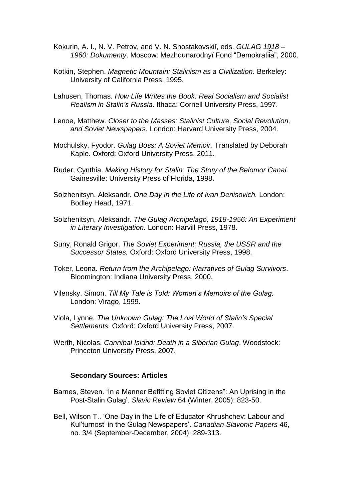- Kokurin, A. I., N. V. Petrov, and V. N. Shostakovskiĭ, eds. *GULAG 1918 – 1960: Dokumenty*. Moscow: Mezhdunarodnyĭ Fond "Demokrati͡ia", 2000.
- Kotkin, Stephen. *Magnetic Mountain: Stalinism as a Civilization.* Berkeley: University of California Press, 1995.
- Lahusen, Thomas. *How Life Writes the Book: Real Socialism and Socialist Realism in Stalin's Russia*. Ithaca: Cornell University Press, 1997.
- Lenoe, Matthew. *Closer to the Masses: Stalinist Culture, Social Revolution, and Soviet Newspapers.* London: Harvard University Press, 2004.
- Mochulsky, Fyodor. *Gulag Boss: A Soviet Memoir.* Translated by Deborah Kaple. Oxford: Oxford University Press, 2011.
- Ruder, Cynthia. *Making History for Stalin: The Story of the Belomor Canal.* Gainesville: University Press of Florida, 1998.
- Solzhenitsyn, Aleksandr. *One Day in the Life of Ivan Denisovich.* London: Bodley Head, 1971.
- Solzhenitsyn, Aleksandr. *The Gulag Archipelago, 1918-1956: An Experiment in Literary Investigation.* London: Harvill Press, 1978.
- Suny, Ronald Grigor. *The Soviet Experiment: Russia, the USSR and the Successor States.* Oxford: Oxford University Press, 1998.
- Toker, Leona. *Return from the Archipelago: Narratives of Gulag Survivors*. Bloomington: Indiana University Press, 2000.
- Vilensky, Simon. *Till My Tale is Told: Women's Memoirs of the Gulag.* London: Virago, 1999.
- Viola, Lynne. *The Unknown Gulag: The Lost World of Stalin's Special Settlements.* Oxford: Oxford University Press, 2007.
- Werth, Nicolas. *Cannibal Island: Death in a Siberian Gulag*. Woodstock: Princeton University Press, 2007.

### **Secondary Sources: Articles**

- Barnes, Steven. 'In a Manner Befitting Soviet Citizens": An Uprising in the Post-Stalin Gulag'. *Slavic Review* 64 (Winter, 2005): 823-50.
- Bell, Wilson T.. 'One Day in the Life of Educator Khrushchev: Labour and Kul'turnost' in the Gulag Newspapers'. *Canadian Slavonic Papers* 46, no. 3/4 (September-December, 2004): 289-313.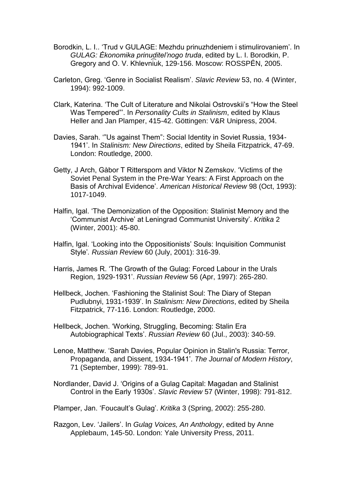- Borodkin, L. I.. 'Trud v GULAGE: Mezhdu prinuzhdeniem i stimulirovaniem'. In *GULAG: Ėkonomika prinuditel'nogo truda*, edited by L. I. Borodkin, P. Gregory and O. V. Khlevniuk, 129-156. Moscow: ROSSPEN, 2005.
- Carleton, Greg. 'Genre in Socialist Realism'. *Slavic Review* 53, no. 4 (Winter, 1994): 992-1009.
- Clark, Katerina. 'The Cult of Literature and Nikolai Ostrovskii's "How the Steel Was Tempered"'. In *Personality Cults in Stalinism*, edited by Klaus Heller and Jan Plamper, 415-42. Göttingen: V&R Unipress, 2004.
- Davies, Sarah. '"Us against Them": Social Identity in Soviet Russia, 1934- 1941'. In *Stalinism: New Directions*, edited by Sheila Fitzpatrick, 47-69. London: Routledge, 2000.
- Getty, J Arch, Gàbor T Rittersporn and Viktor N Zemskov. 'Victims of the Soviet Penal System in the Pre-War Years: A First Approach on the Basis of Archival Evidence'. *American Historical Review* 98 (Oct, 1993): 1017-1049.
- Halfin, Igal. 'The Demonization of the Opposition: Stalinist Memory and the 'Communist Archive' at Leningrad Communist University'. *Kritika* 2 (Winter, 2001): 45-80.
- Halfin, Igal. 'Looking into the Oppositionists' Souls: Inquisition Communist Style'*. Russian Review* 60 (July, 2001): 316-39.
- Harris, James R. 'The Growth of the Gulag: Forced Labour in the Urals Region, 1929-1931'. *Russian Review* 56 (Apr, 1997): 265-280.
- Hellbeck, Jochen. 'Fashioning the Stalinist Soul: The Diary of Stepan Pudlubnyi, 1931-1939'. In *Stalinism: New Directions*, edited by Sheila Fitzpatrick, 77-116. London: Routledge, 2000.
- Hellbeck, Jochen. 'Working, Struggling, Becoming: Stalin Era Autobiographical Texts'. *Russian Review* 60 (Jul., 2003): 340-59.
- Lenoe, Matthew. 'Sarah Davies, Popular Opinion in Stalin's Russia: Terror, Propaganda, and Dissent, 1934-1941'. *The Journal of Modern History*, 71 (September, 1999): 789-91.
- Nordlander, David J. 'Origins of a Gulag Capital: Magadan and Stalinist Control in the Early 1930s'. *Slavic Review* 57 (Winter, 1998): 791-812.
- Plamper, Jan. 'Foucault's Gulag'. *Kritika* 3 (Spring, 2002): 255-280.
- Razgon, Lev. 'Jailers'. In *Gulag Voices, An Anthology*, edited by Anne Applebaum, 145-50. London: Yale University Press, 2011.